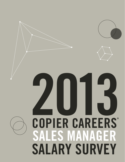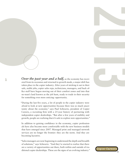2013<br>2013<br>2013<br>2013

**Over the past year and a half, as the economy has recov**ered from its recession and returned to growth mode, a major shift has taken place in the copier industry. After years of sticking it out in their safe, stable jobs, copier sales reps, technicians, managers, and back office staff have begun moving out of their comfort zones and into that no-man's land known as the job hunt, ready to trade in their security for something even more enticing: opportunity.

**1**

"During the last five years, a lot of people in the copier industry were afraid to look at new opportunities because there was so much uncertainty about the economy," says Paul Schwartz, president of Copier Careers, a recruiting firm with a 25-year history of partnering with independent copier dealerships. "But after a few years of stability and growth, people are realizing that it's safe to explore new opportunities."

In addition to gaining confidence in the economy, copier professionals have also become more comfortable with the new business models that have emerged since 2007. Managed print and managed network services are no longer the frontier: they are the norm. And they are becoming lucrative.

"Sales managers are now beginning to understand the depth and breadth of solutions," says Schwartz. "And they've started to realize that there are a variety of opportunities out there, both within and outside of traditional copier dealerships. These are the signs of an evolving industry."

®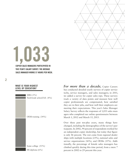

## **1,033 COPIER SALES MANAGERS PARTICIPATED IN THIS YEAR'S SALARY SURVEY. THE AVERAGE SALES MANAGER WORKS 57 HOURS PER WEEK.**

#### **WHAT IS YOUR HIGHEST LEVEL OF EDUCATION?**



For more than a decade, Copier Careers has conducted detailed yearly surveys of copier service techs, service managers, and sales managers; in 2011, we added a survey for copier sales reps. These surveys track a variety of data points and measure how well copier professionals are compensated, how satisfied they are in their jobs, and how well their employers are meeting their expectations. This year's Sales Manager Salary Survey reflects the responses of 1,033 sales managers who completed our online questionnaire between March 1, 2012 and March 15, 2013.

Over these past ten-plus years, many things have changed, including the demographics of the survey's participants. In 2002, 94 percent of respondents worked for an independent copier dealership, but today that figure is only 46 percent. The rest come from regional dealerships with multiple locations (23%), national sales and service organizations (16%), and OEMs (15%). Additionally, the percentage of female sales managers has climbed quickly during this time period, from a mere 7 percent in 2002 to 29 percent this year.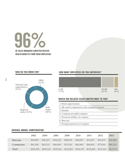# OF SALES MANAGERS SURVEYED RECEIVE **HEALTH BENEFITS FROM THEIR EMPLOYERS**

**WHO DO YOU WORK FOR?**

### National sales organization  ${16\%}$ Indie dealer  ${46\%}$ OEM  ${15\%}$ Regional dealer {23%}

#### **HOW MANY EMPLOYEES DO YOU SUPERVISE?**



#### **WHICH JOB-RELATED ISSUES MATTER MOST TO YOU?**

- 1. Bonus opportunities
- 2. My work is important to the company's success
- 3. Benefits
- 4. Company-provided computer
- 5. Financial stability of company
- 6. Base pay
- 7. Prestige/reputation of company

|                   | 2002      | 2004      | 2006      | 2008      | 2010      | 2011      | 2012      | 2013      |
|-------------------|-----------|-----------|-----------|-----------|-----------|-----------|-----------|-----------|
| Base pay          | \$39,800  | \$42,211  | \$44,322  | \$48,678  | \$48,699  | \$51,201  | \$54,231  | \$56,400  |
| <b>Commission</b> | \$61,300  | \$62,121  | \$66,444  | \$73,136  | \$65,440  | \$68,439  | \$77,034  | \$81,331  |
| <b>Total</b>      | \$101,100 | \$104,332 | \$110,766 | \$121,814 | \$114,139 | \$119,640 | \$131,265 | \$137,731 |

#### **AVERAGE ANNUAL COMPENSATION**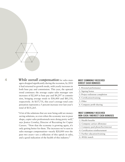

**4** *While overall compensation* for sales managers dropped significantly during the recession, by 2011 it had returned to growth mode, with yearly increases in both base pay and commission. This year, the upward trend continues: the average copier sales manager saw increases of \$2,169 in base pay and \$4,297 in commission, bringing average totals to \$56,400 and \$81,331, respectively. At \$137,731, this year's average total compensation represents a 5 percent increase over last year's total of \$131,265.

> "A lot of the solutions that are now being sold are moneysaving solutions, so even when the economy was in poor shape, copier sales professionals were doing pretty well," says Jessica Crowley, Director of Recruiting for Copier Careers. "Now that the economy is growing again, it's only getting better for them. The increases we've seen in sales manager compensation—nearly \$20,000 over the past two years—are a reflection of this uptick in sales, and a good indication of the health of this industry."

#### **MOST COMMONLY RECEIVED DIRECT CASH BONUSES**

- 1. Personal performance
- 2. Signing bonus
- 3. Project milestone completion
- 4. Certification/training
- 5. Other
- 6. Company profit sharing

#### **MOST COMMONLY RECEIVED NON-CASH / INDIRECT CASH BONUSES**

- 1. Health benefits
- 2. Company car/car allowance
- 3. Company-paid phone/fax/internet
- 4. Certification reimbursement
- 5. Further education/training
- 6. 401(k) match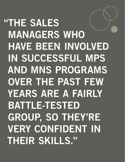**"THE SALES MANAGERS WHO HAVE BEEN INVOLVED IN SUCCESSFUL MPS AND MNS PROGRAMS OVER THE PAST FEW YEARS ARE A FAIRLY BATTLE-TESTED GROUP, SO THEY'RE VERY CONFIDENT IN THEIR SKILLS."**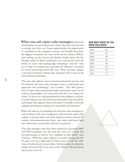#### *When you ask copier sales managers* which jobrelated issues are most important to them, the same answers tend to emerge year after year: bonus opportunities, the opportunity to contribute to the company's success, and benefits have been the biggest vote-getters for most of the survey's history. What's more telling are the movers and shakers farther down the list. Though neither of these cracked this year's top ten list, both the "ability to work with leading-edge technology" and the "ability to work on creating new, innovative IT solutions" increased by several percentage points this year. These increases suggest a growing awareness among sales managers that it pays to get excited about technology.

"The more the industry moves toward professional services and IT solutions, the more sales managers need to understand and appreciate new technology," says Crowley. "The older generation of copier sales professionals didn't necessarily need a lot of technical knowledge to be successful, but that is no longer the reality. To thrive as a sales professional in this industry, you have to really embrace not only the devices themselves, but also all the technology that supports them and makes it possible to provide sophisticated business solutions in networked environments."

While this interest in technology has led some sales managers to seek positions with more progressive, tech-oriented copier dealerships, it has led others out of the industry entirely and into IT entities, telecommunications firms, and other tech-based business where they can put their skill sets to good use.

"The sales managers who have been involved in successful MPS and MNS programs over the past few years are a fairly battle-tested group, so they're very confident in their skills," says Schwartz. "With the copier industry so clearly moving into the IT space, it's not a huge leap for them to go to work for other types of technical service providers. Unfortunately, it's often the people we'd most like to see stay in the industry who are choosing to move out of it."

#### **HOW MANY HOURS DO YOU WORK EACH WEEK?**

| 2002 | 46 |
|------|----|
| 2004 | 49 |
| 2006 | 50 |
| 2008 | 54 |
| 2010 | 58 |
| 2011 | 58 |
| 2012 | 59 |
| 2013 | 57 |

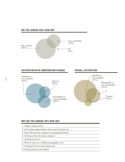#### **ARE YOU LOOKING FOR A NEW JOB?**



#### **WHY ARE YOU LOOKING FOR A NEW JOB?**

| 1. Higher compensation                              |  |  |  |
|-----------------------------------------------------|--|--|--|
| 2. Job market opportunities are too good to pass up |  |  |  |
| 3. Don't like present company's management/culture  |  |  |  |
| 4. Seeking a more dynamic company                   |  |  |  |
| 5. Seeking less stress                              |  |  |  |
| 6. Want to move to a different geographic area      |  |  |  |
| 7. Looking for more interesting work                |  |  |  |
| $0 \t 1 \t 1 \t 1 \t 1 \t 1 \t 1 \t 1 \t 1$         |  |  |  |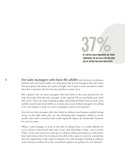**37% OF COPIER SALES MANAGERS SAY THEIR COMPANIES DO AN EXCELLENT OR GOOD JOB OF ATTRACTING NEW EMPLOYEES**

**8** *For sales managers who have the ability* and the desire to embrace solution sales, the future holds a lot of promise. But for the managers who don't meet this description, the future isn't quite so bright. One Copier Careers newsletter reader describes a situation that has become familiar to many of us:

> "My company has too many managers who have been in the same position for too long. Everyone from the sales manager to the regional VP are just biding time until they retire. There are long-standing grudges and political battles that go back years, and the current sales team suffers as a result, since none of these managers are willing to try new things or work on creative strategies to drive new business."

> Not only are sales managers who have failed to embrace new business models leaving money on the table today, they are also damaging their company's ability to recruit quality sales staff, a situation that could negatively impact the dealership's business for years to come.

> "When a sales manager is stuck on the idea of selling boxes, it is really difficult for us to convince experienced sales reps to give that dealership a look," says Crowley. "Three- to five-year reps have come up in a solution selling environment, so they know how much money they'd be leaving on the table if they agree to work for a dealership that isn't supporting a wide range of solutions. If a sales manager is failing to embrace newer business models, his or her recruitment options are going to be very limited."